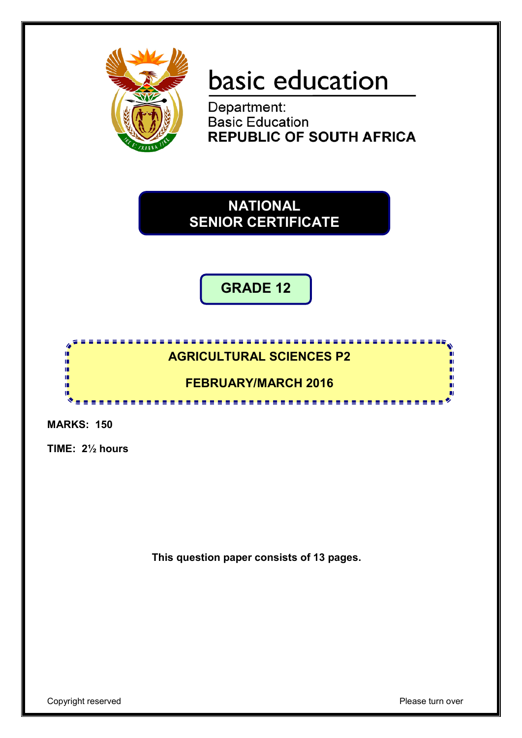

# basic education

Department: **Basic Education REPUBLIC OF SOUTH AFRICA** 

**NATIONAL SENIOR CERTIFICATE**

**GRADE 12**

### <u>. . . . . . . . . . . .</u> **AGRICULTURAL SCIENCES P2**

## **FEBRUARY/MARCH 2016**

---------

**MARKS: 150**

庫 庫 ή. if. т

**TIME: 2½ hours**

**This question paper consists of 13 pages.**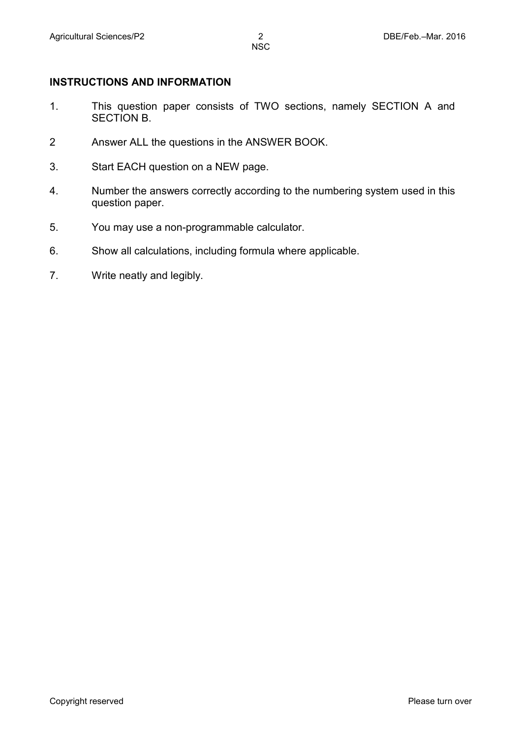#### **INSTRUCTIONS AND INFORMATION**

- 1. This question paper consists of TWO sections, namely SECTION A and SECTION B.
- 2 Answer ALL the questions in the ANSWER BOOK.
- 3. Start EACH question on a NEW page.
- 4. Number the answers correctly according to the numbering system used in this question paper.
- 5. You may use a non-programmable calculator.
- 6. Show all calculations, including formula where applicable.
- 7. Write neatly and legibly.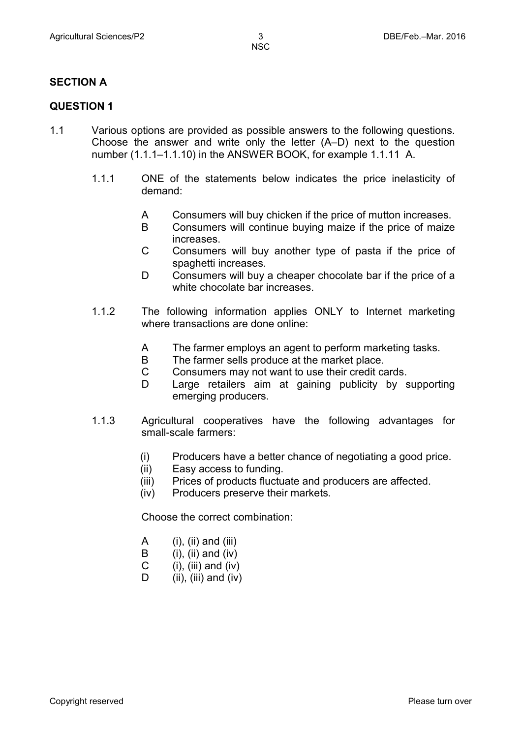#### **SECTION A**

#### **QUESTION 1**

- 1.1 Various options are provided as possible answers to the following questions. Choose the answer and write only the letter (A–D) next to the question number (1.1.1–1.1.10) in the ANSWER BOOK, for example 1.1.11 A.
	- 1.1.1 ONE of the statements below indicates the price inelasticity of demand:
		- A Consumers will buy chicken if the price of mutton increases.
		- B Consumers will continue buying maize if the price of maize increases.
		- $\mathcal{C}$ Consumers will buy another type of pasta if the price of spaghetti increases.
		- D Consumers will buy a cheaper chocolate bar if the price of a white chocolate bar increases.
	- 1.1.2 The following information applies ONLY to Internet marketing where transactions are done online:
		- A The farmer employs an agent to perform marketing tasks.
		- B The farmer sells produce at the market place.
		- $\mathcal{C}$ Consumers may not want to use their credit cards.
		- D Large retailers aim at gaining publicity by supporting emerging producers.
	- 1.1.3 Agricultural cooperatives have the following advantages for small-scale farmers:
		- (i) Producers have a better chance of negotiating a good price.
		- (ii) Easy access to funding.
		- (iii) Prices of products fluctuate and producers are affected.
		- (iv) Producers preserve their markets.

Choose the correct combination:

- A  $(i)$ ,  $(ii)$  and  $(iii)$
- B  $(i)$ ,  $(ii)$  and  $(iv)$
- $\mathsf{C}$  $(i)$ ,  $(iii)$  and  $(iv)$
- D  $(ii)$ ,  $(iii)$  and  $(iv)$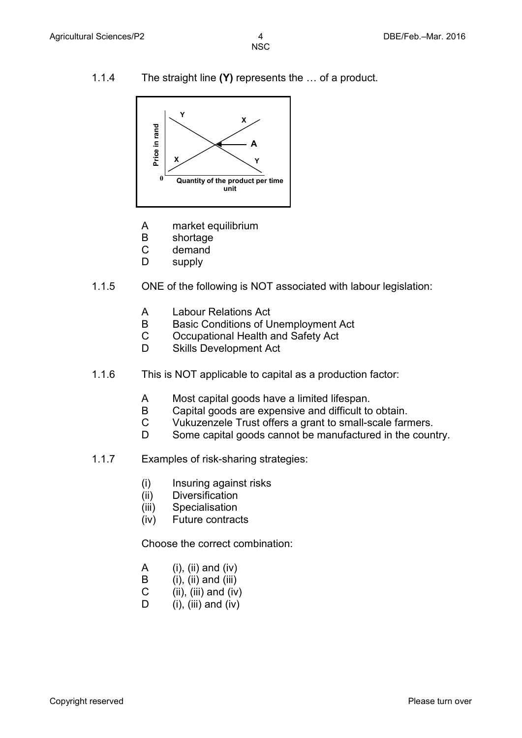1.1.4 The straight line **(Y)** represents the … of a product.



- A market equilibrium
- B shortage
- C demand
- D supply
- 1.1.5 ONE of the following is NOT associated with labour legislation:
	- A Labour Relations Act
	- B Basic Conditions of Unemployment Act
	- C Occupational Health and Safety Act
	- D Skills Development Act
- 1.1.6 This is NOT applicable to capital as a production factor:
	- A Most capital goods have a limited lifespan.
	- B Capital goods are expensive and difficult to obtain.
	- C Vukuzenzele Trust offers a grant to small-scale farmers.
	- D Some capital goods cannot be manufactured in the country.
- 1.1.7 Examples of risk-sharing strategies:
	- (i) Insuring against risks
	- (ii) **Diversification**
	- (iii) **Specialisation**
	- (iv) Future contracts

Choose the correct combination:

- A (i), (ii) and (iv)
- B  $(i)$ ,  $(ii)$  and  $(iii)$
- C (ii), (iii) and (iv)
- D  $(i)$ ,  $(iii)$  and  $(iv)$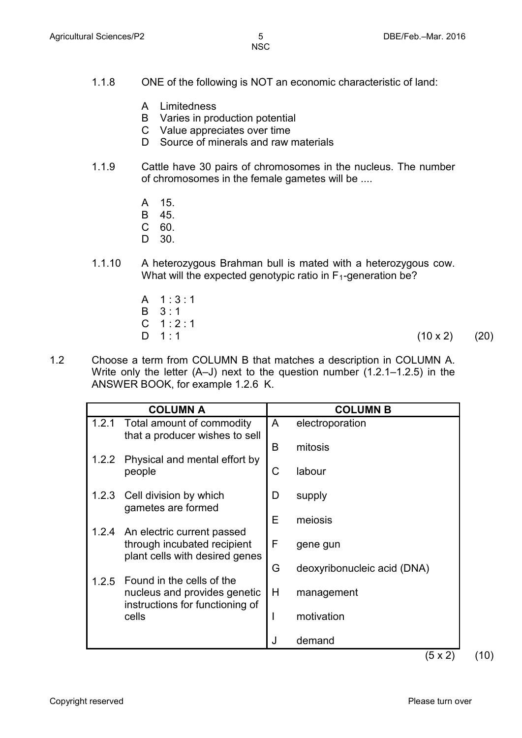- 1.1.8 ONE of the following is NOT an economic characteristic of land:
	- A Limitedness
	- B Varies in production potential
	- C Value appreciates over time
	- D Source of minerals and raw materials
- 1.1.9 Cattle have 30 pairs of chromosomes in the nucleus. The number of chromosomes in the female gametes will be ....
	- A 15.
	- B 45.
	- C 60.
	- D. 30.
- 1.1.10 A heterozygous Brahman bull is mated with a heterozygous cow. What will the expected genotypic ratio in  $F_1$ -generation be?
	- A 1 : 3 : 1 B C 1 : 2 : 1 D 1:1 3 : 1  $(10 \times 2)$  (20)
- 1.2 Choose a term from COLUMN B that matches a description in COLUMN A. Write only the letter (A–J) next to the question number (1.2.1–1.2.5) in the ANSWER BOOK, for example 1.2.6 K.

|       | <b>COLUMN A</b>                                                                                   |   | <b>COLUMN B</b>             |
|-------|---------------------------------------------------------------------------------------------------|---|-----------------------------|
| 1.2.1 | Total amount of commodity<br>that a producer wishes to sell                                       | A | electroporation             |
|       |                                                                                                   | B | mitosis                     |
| 1.2.2 | Physical and mental effort by<br>people                                                           | C | labour                      |
| 1.2.3 | Cell division by which<br>gametes are formed                                                      | D | supply                      |
|       |                                                                                                   | Е | meiosis                     |
|       | 1.2.4 An electric current passed<br>through incubated recipient<br>plant cells with desired genes | F | gene gun                    |
|       |                                                                                                   | G | deoxyribonucleic acid (DNA) |
| 1.2.5 | Found in the cells of the<br>nucleus and provides genetic<br>instructions for functioning of      | H | management                  |
|       | cells                                                                                             | I | motivation                  |
|       |                                                                                                   | J | demand                      |
|       |                                                                                                   |   | $(5 \times 2)$              |

Copyright reserved **Please turn over the Copyright reserved** Please turn over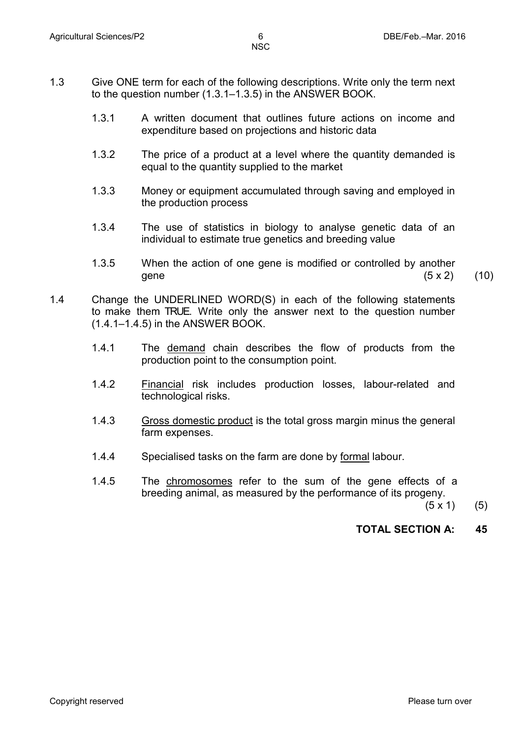- 1.3 Give ONE term for each of the following descriptions. Write only the term next to the question number (1.3.1–1.3.5) in the ANSWER BOOK.
	- 1.3.1 A written document that outlines future actions on income and expenditure based on projections and historic data
	- 1.3.2 The price of a product at a level where the quantity demanded is equal to the quantity supplied to the market
	- 1.3.3 Money or equipment accumulated through saving and employed in the production process
	- 1.3.4 The use of statistics in biology to analyse genetic data of an individual to estimate true genetics and breeding value
	- 1.3.5 When the action of one gene is modified or controlled by another gene  $(5 \times 2)$  (10)
- 1.4 Change the UNDERLINED WORD(S) in each of the following statements to make them TRUE. Write only the answer next to the question number (1.4.1–1.4.5) in the ANSWER BOOK.
	- 1.4.1 The demand chain describes the flow of products from the production point to the consumption point.
	- 1.4.2 Financial risk includes production losses, labour-related and technological risks.
	- 1.4.3 Gross domestic product is the total gross margin minus the general farm expenses.
	- 1.4.4 Specialised tasks on the farm are done by formal labour.
	- 1.4.5 The chromosomes refer to the sum of the gene effects of a breeding animal, as measured by the performance of its progeny.

(5 x 1) (5)

#### **TOTAL SECTION A: 45**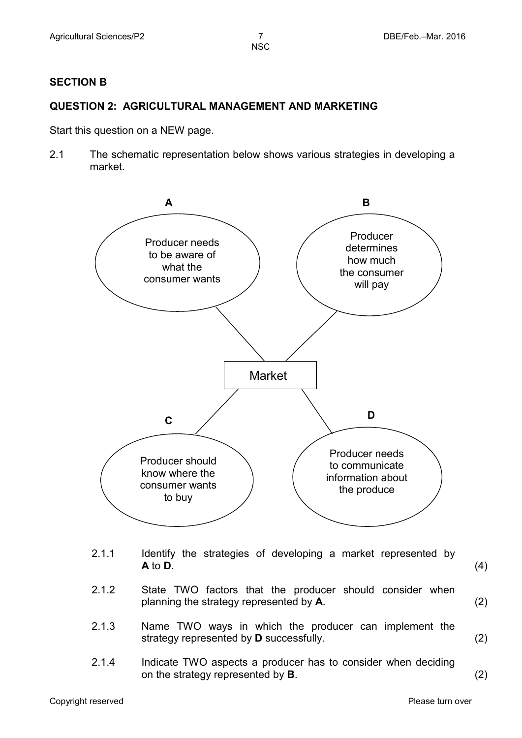#### **SECTION B**

#### **QUESTION 2: AGRICULTURAL MANAGEMENT AND MARKETING**

Start this question on a NEW page.

2.1 The schematic representation below shows various strategies in developing a market.



- 2.1.1 Identify the strategies of developing a market represented by  $\overline{A}$  to  $\overline{D}$ . **A** to **D**. (4)
- 2.1.2 State TWO factors that the producer should consider when planning the strategy represented by **A**. (2)
- 2.1.3 Name TWO ways in which the producer can implement the strategy represented by **D** successfully. (2)
- 2.1.4 Indicate TWO aspects a producer has to consider when deciding on the strategy represented by **B**. (2)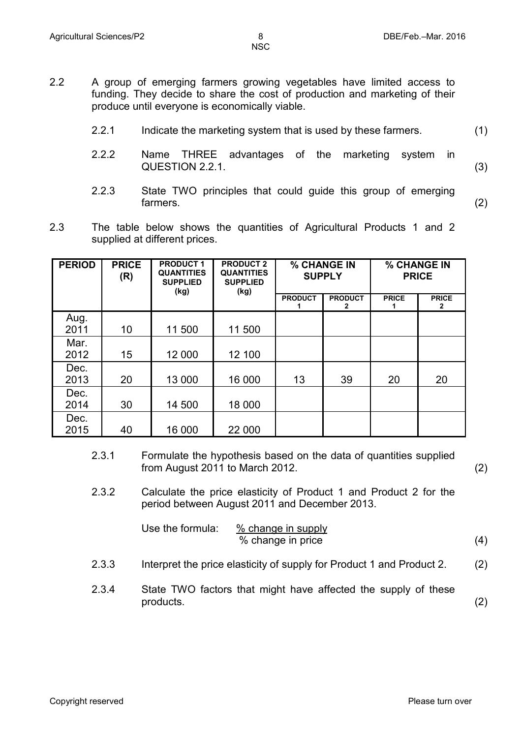- 2.2 A group of emerging farmers growing vegetables have limited access to funding. They decide to share the cost of production and marketing of their produce until everyone is economically viable.
	- 2.2.1 Indicate the marketing system that is used by these farmers. (1)
	- 2.2.2 Name THREE advantages of the marketing system in QUESTION 2.2.1. (3)
	- 2.2.3 State TWO principles that could guide this group of emerging farmers. (2)
- 2.3 The table below shows the quantities of Agricultural Products 1 and 2 supplied at different prices.

| <b>PERIOD</b> | <b>PRICE</b><br>(R) | <b>PRODUCT 1</b><br><b>QUANTITIES</b><br><b>SUPPLIED</b><br>(kg) | <b>PRODUCT 2</b><br><b>QUANTITIES</b><br><b>SUPPLIED</b><br>(kg) | % CHANGE IN<br><b>SUPPLY</b> |                     | % CHANGE IN<br><b>PRICE</b> |                              |
|---------------|---------------------|------------------------------------------------------------------|------------------------------------------------------------------|------------------------------|---------------------|-----------------------------|------------------------------|
|               |                     |                                                                  |                                                                  | <b>PRODUCT</b>               | <b>PRODUCT</b><br>2 | <b>PRICE</b>                | <b>PRICE</b><br>$\mathbf{2}$ |
| Aug.<br>2011  | 10                  | 11 500                                                           | 11 500                                                           |                              |                     |                             |                              |
| Mar.<br>2012  | 15                  | 12 000                                                           | 12 100                                                           |                              |                     |                             |                              |
| Dec.<br>2013  | 20                  | 13 000                                                           | 16 000                                                           | 13                           | 39                  | 20                          | 20                           |
| Dec.<br>2014  | 30                  | 14 500                                                           | 18 000                                                           |                              |                     |                             |                              |
| Dec.<br>2015  | 40                  | 16 000                                                           | 22 000                                                           |                              |                     |                             |                              |

- 2.3.1 Formulate the hypothesis based on the data of quantities supplied from August 2011 to March 2012. (2)
- 2.3.2 Calculate the price elasticity of Product 1 and Product 2 for the period between August 2011 and December 2013.

Use the formula: 
$$
\frac{\% \text{ change in supply}}{\% \text{ change in price}}
$$
 (4)

- 2.3.3 Interpret the price elasticity of supply for Product 1 and Product 2. (2)
- 2.3.4 State TWO factors that might have affected the supply of these products. (2)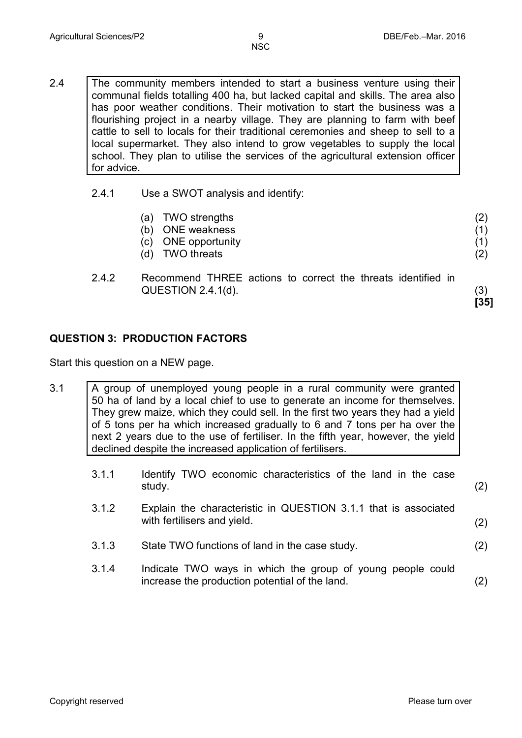(2) (1) (1) (2)

**[35]**

- 2.4 The community members intended to start a business venture using their communal fields totalling 400 ha, but lacked capital and skills. The area also has poor weather conditions. Their motivation to start the business was a flourishing project in a nearby village. They are planning to farm with beef cattle to sell to locals for their traditional ceremonies and sheep to sell to a local supermarket. They also intend to grow vegetables to supply the local school. They plan to utilise the services of the agricultural extension officer for advice.
	- 2.4.1 Use a SWOT analysis and identify:
		- (a) TWO strengths
		- (b) ONE weakness
		- (c) ONE opportunity
		- (d) TWO threats
	- 2.4.2 Recommend THREE actions to correct the threats identified in  $QUESTION 2.4.1(d).$  (3)

**QUESTION 3: PRODUCTION FACTORS** 

Start this question on a NEW page.

- 3.1 A group of unemployed young people in a rural community were granted 50 ha of land by a local chief to use to generate an income for themselves. They grew maize, which they could sell. In the first two years they had a yield of 5 tons per ha which increased gradually to 6 and 7 tons per ha over the next 2 years due to the use of fertiliser. In the fifth year, however, the yield declined despite the increased application of fertilisers.
	- 3.1.1 Identify TWO economic characteristics of the land in the case study. (2)
	- 3.1.2 Explain the characteristic in QUESTION 3.1.1 that is associated with fertilisers and yield. (2)
	- 3.1.3 State TWO functions of land in the case study. (2)
	- 3.1.4 Indicate TWO ways in which the group of young people could increase the production potential of the land. (2)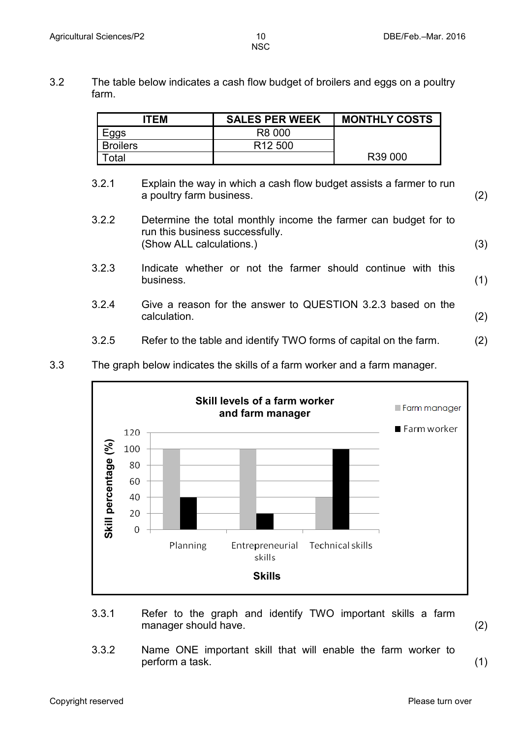3.2 The table below indicates a cash flow budget of broilers and eggs on a poultry farm.

| <b>ITEM</b>     | <b>SALES PER WEEK</b> | <b>MONTHLY COSTS</b> |
|-----------------|-----------------------|----------------------|
| Eggs            | R8 000                |                      |
| <b>Broilers</b> | R <sub>12</sub> 500   |                      |
| otal            |                       | R39 000              |

- 3.2.1 Explain the way in which a cash flow budget assists a farmer to run a poultry farm business. (2)
- 3.2.2 Determine the total monthly income the farmer can budget for to run this business successfully. (Show ALL calculations.) (3)
- 3.2.3 Indicate whether or not the farmer should continue with this business. (1)
- 3.2.4 Give a reason for the answer to QUESTION 3.2.3 based on the calculation. (2)
- 3.2.5 Refer to the table and identify TWO forms of capital on the farm. (2)



3.3 The graph below indicates the skills of a farm worker and a farm manager.

- 3.3.1 Refer to the graph and identify TWO important skills a farm manager should have. (2)
	-
- 3.3.2 Name ONE important skill that will enable the farm worker to perform a task. (1)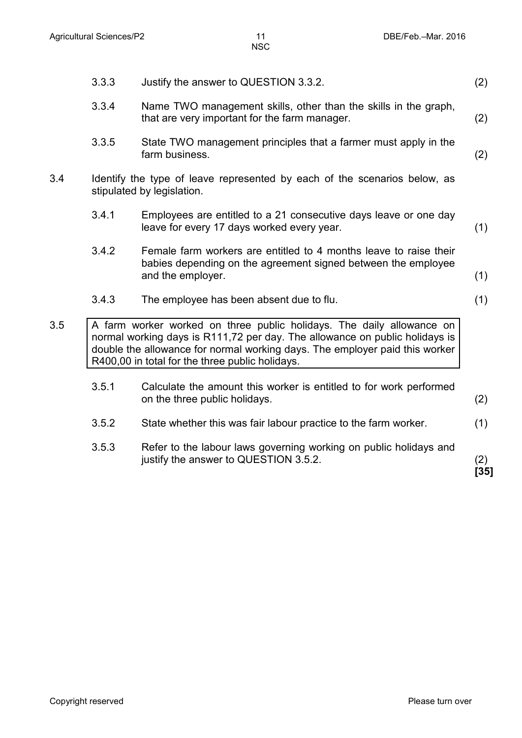|     | 3.3.3                                                                                                   | Justify the answer to QUESTION 3.3.2.                                                                                                                                                                                                                                                  | (2)         |  |  |  |
|-----|---------------------------------------------------------------------------------------------------------|----------------------------------------------------------------------------------------------------------------------------------------------------------------------------------------------------------------------------------------------------------------------------------------|-------------|--|--|--|
|     | 3.3.4                                                                                                   | Name TWO management skills, other than the skills in the graph,<br>that are very important for the farm manager.                                                                                                                                                                       | (2)         |  |  |  |
|     | 3.3.5                                                                                                   | State TWO management principles that a farmer must apply in the<br>farm business.                                                                                                                                                                                                      | (2)         |  |  |  |
| 3.4 | Identify the type of leave represented by each of the scenarios below, as<br>stipulated by legislation. |                                                                                                                                                                                                                                                                                        |             |  |  |  |
|     | 3.4.1                                                                                                   | Employees are entitled to a 21 consecutive days leave or one day<br>leave for every 17 days worked every year.                                                                                                                                                                         | (1)         |  |  |  |
|     | 3.4.2                                                                                                   | Female farm workers are entitled to 4 months leave to raise their<br>babies depending on the agreement signed between the employee<br>and the employer.                                                                                                                                | (1)         |  |  |  |
|     | 3.4.3                                                                                                   | The employee has been absent due to flu.                                                                                                                                                                                                                                               | (1)         |  |  |  |
| 3.5 |                                                                                                         | A farm worker worked on three public holidays. The daily allowance on<br>normal working days is R111,72 per day. The allowance on public holidays is<br>double the allowance for normal working days. The employer paid this worker<br>R400,00 in total for the three public holidays. |             |  |  |  |
|     | 3.5.1                                                                                                   | Calculate the amount this worker is entitled to for work performed<br>on the three public holidays.                                                                                                                                                                                    | (2)         |  |  |  |
|     | 3.5.2                                                                                                   | State whether this was fair labour practice to the farm worker.                                                                                                                                                                                                                        | (1)         |  |  |  |
|     | 3.5.3                                                                                                   | Refer to the labour laws governing working on public holidays and<br>justify the answer to QUESTION 3.5.2.                                                                                                                                                                             | (2)<br>[35] |  |  |  |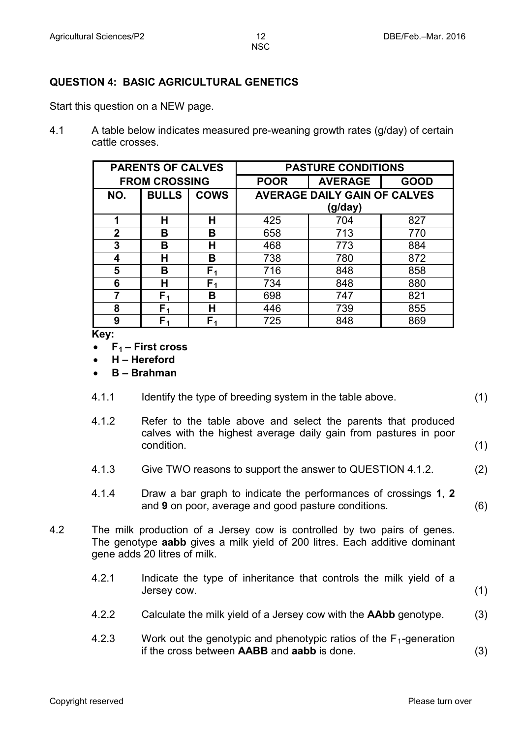### **QUESTION 4: BASIC AGRICULTURAL GENETICS**

Start this question on a NEW page.

4.1 A table below indicates measured pre-weaning growth rates (g/day) of certain cattle crosses.

| <b>PARENTS OF CALVES</b> |              |                | <b>PASTURE CONDITIONS</b>           |                |             |  |
|--------------------------|--------------|----------------|-------------------------------------|----------------|-------------|--|
| <b>FROM CROSSING</b>     |              |                | <b>POOR</b>                         | <b>AVERAGE</b> | <b>GOOD</b> |  |
| NO.                      | <b>BULLS</b> | <b>COWS</b>    | <b>AVERAGE DAILY GAIN OF CALVES</b> |                |             |  |
|                          |              |                | (g/day)                             |                |             |  |
| 1                        | н            | н              | 425                                 | 704            | 827         |  |
| $\overline{2}$           | В            | В              | 658                                 | 713            | 770         |  |
| 3                        | в            | н              | 468                                 | 773            | 884         |  |
| 4                        | н            | в              | 738                                 | 780            | 872         |  |
| 5                        | в            | F۱             | 716                                 | 848            | 858         |  |
| 6                        | н            | F <sub>1</sub> | 734                                 | 848            | 880         |  |
|                          | F۱           | В              | 698                                 | 747            | 821         |  |
| 8                        | F,           | н              | 446                                 | 739            | 855         |  |
| 9                        |              | F,             | 725                                 | 848            | 869         |  |

**Key:** 

- **F1 – First cross**
- **H – Hereford**
- **B – Brahman**
- 4.1.1 Identify the type of breeding system in the table above. (1)
- 4.1.2 Refer to the table above and select the parents that produced calves with the highest average daily gain from pastures in poor  $\qquad \qquad \text{condition.} \qquad \qquad \text{(1)}$
- 4.1.3 Give TWO reasons to support the answer to QUESTION 4.1.2. (2)
- 4.1.4 Draw a bar graph to indicate the performances of crossings **1**, **2** and **9** on poor, average and good pasture conditions. (6)
- 4.2 The milk production of a Jersey cow is controlled by two pairs of genes. The genotype **aabb** gives a milk yield of 200 litres. Each additive dominant gene adds 20 litres of milk.
	- 4.2.1 Indicate the type of inheritance that controls the milk yield of a Jersey cow. (1)
	- 4.2.2 Calculate the milk yield of a Jersey cow with the **AAbb** genotype. (3)
	- 4.2.3 Work out the genotypic and phenotypic ratios of the  $F_1$ -generation if the cross between **AABB** and **aabb** is done. (3)